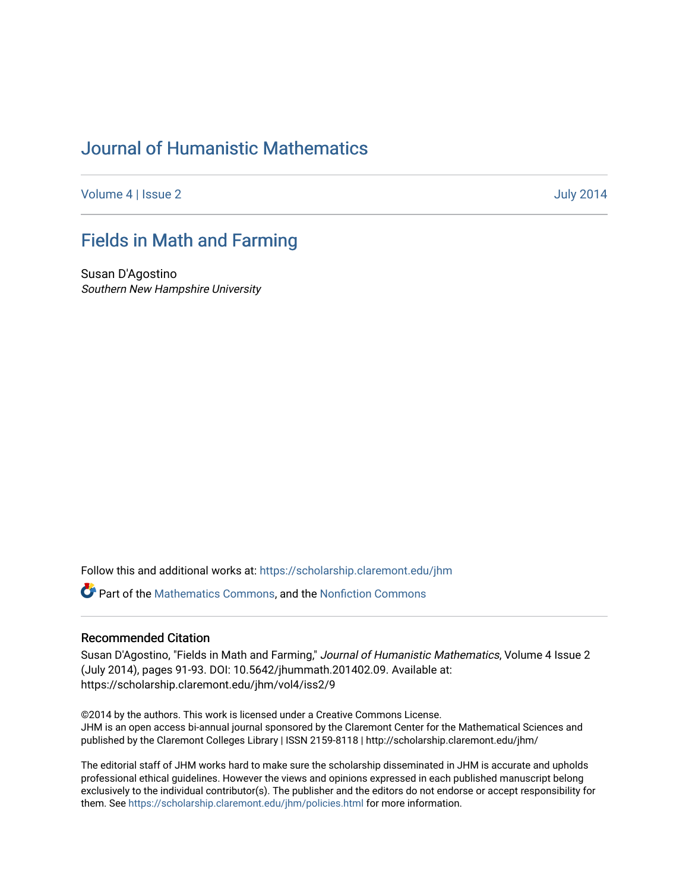# [Journal of Humanistic Mathematics](https://scholarship.claremont.edu/jhm)

[Volume 4](https://scholarship.claremont.edu/jhm/vol4) | [Issue 2](https://scholarship.claremont.edu/jhm/vol4/iss2) July 2014

### [Fields in Math and Farming](https://scholarship.claremont.edu/jhm/vol4/iss2/9)

Susan D'Agostino Southern New Hampshire University

Follow this and additional works at: [https://scholarship.claremont.edu/jhm](https://scholarship.claremont.edu/jhm?utm_source=scholarship.claremont.edu%2Fjhm%2Fvol4%2Fiss2%2F9&utm_medium=PDF&utm_campaign=PDFCoverPages)

Part of the [Mathematics Commons](http://network.bepress.com/hgg/discipline/174?utm_source=scholarship.claremont.edu%2Fjhm%2Fvol4%2Fiss2%2F9&utm_medium=PDF&utm_campaign=PDFCoverPages), and the [Nonfiction Commons](http://network.bepress.com/hgg/discipline/1152?utm_source=scholarship.claremont.edu%2Fjhm%2Fvol4%2Fiss2%2F9&utm_medium=PDF&utm_campaign=PDFCoverPages) 

#### Recommended Citation

Susan D'Agostino, "Fields in Math and Farming," Journal of Humanistic Mathematics, Volume 4 Issue 2 (July 2014), pages 91-93. DOI: 10.5642/jhummath.201402.09. Available at: https://scholarship.claremont.edu/jhm/vol4/iss2/9

©2014 by the authors. This work is licensed under a Creative Commons License. JHM is an open access bi-annual journal sponsored by the Claremont Center for the Mathematical Sciences and published by the Claremont Colleges Library | ISSN 2159-8118 | http://scholarship.claremont.edu/jhm/

The editorial staff of JHM works hard to make sure the scholarship disseminated in JHM is accurate and upholds professional ethical guidelines. However the views and opinions expressed in each published manuscript belong exclusively to the individual contributor(s). The publisher and the editors do not endorse or accept responsibility for them. See<https://scholarship.claremont.edu/jhm/policies.html> for more information.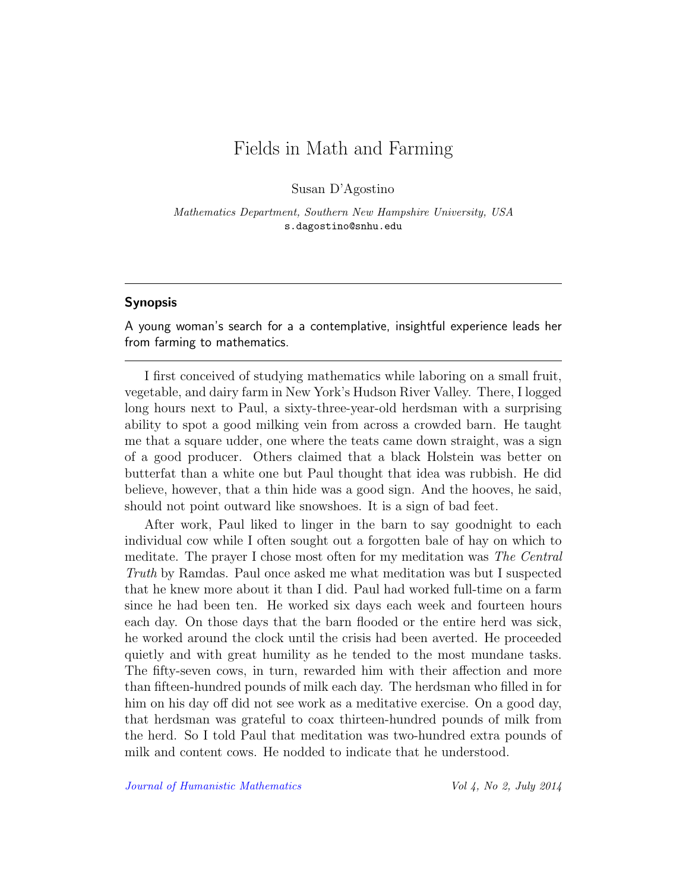## Fields in Math and Farming

Susan D'Agostino

Mathematics Department, Southern New Hampshire University, USA s.dagostino@snhu.edu

### Synopsis

A young woman's search for a a contemplative, insightful experience leads her from farming to mathematics.

I first conceived of studying mathematics while laboring on a small fruit, vegetable, and dairy farm in New York's Hudson River Valley. There, I logged long hours next to Paul, a sixty-three-year-old herdsman with a surprising ability to spot a good milking vein from across a crowded barn. He taught me that a square udder, one where the teats came down straight, was a sign of a good producer. Others claimed that a black Holstein was better on butterfat than a white one but Paul thought that idea was rubbish. He did believe, however, that a thin hide was a good sign. And the hooves, he said, should not point outward like snowshoes. It is a sign of bad feet.

After work, Paul liked to linger in the barn to say goodnight to each individual cow while I often sought out a forgotten bale of hay on which to meditate. The prayer I chose most often for my meditation was The Central Truth by Ramdas. Paul once asked me what meditation was but I suspected that he knew more about it than I did. Paul had worked full-time on a farm since he had been ten. He worked six days each week and fourteen hours each day. On those days that the barn flooded or the entire herd was sick, he worked around the clock until the crisis had been averted. He proceeded quietly and with great humility as he tended to the most mundane tasks. The fifty-seven cows, in turn, rewarded him with their affection and more than fifteen-hundred pounds of milk each day. The herdsman who filled in for him on his day off did not see work as a meditative exercise. On a good day, that herdsman was grateful to coax thirteen-hundred pounds of milk from the herd. So I told Paul that meditation was two-hundred extra pounds of milk and content cows. He nodded to indicate that he understood.

[Journal of Humanistic Mathematics](http://scholarship.claremont.edu/jhm/) Vol 4, No 2, July 2014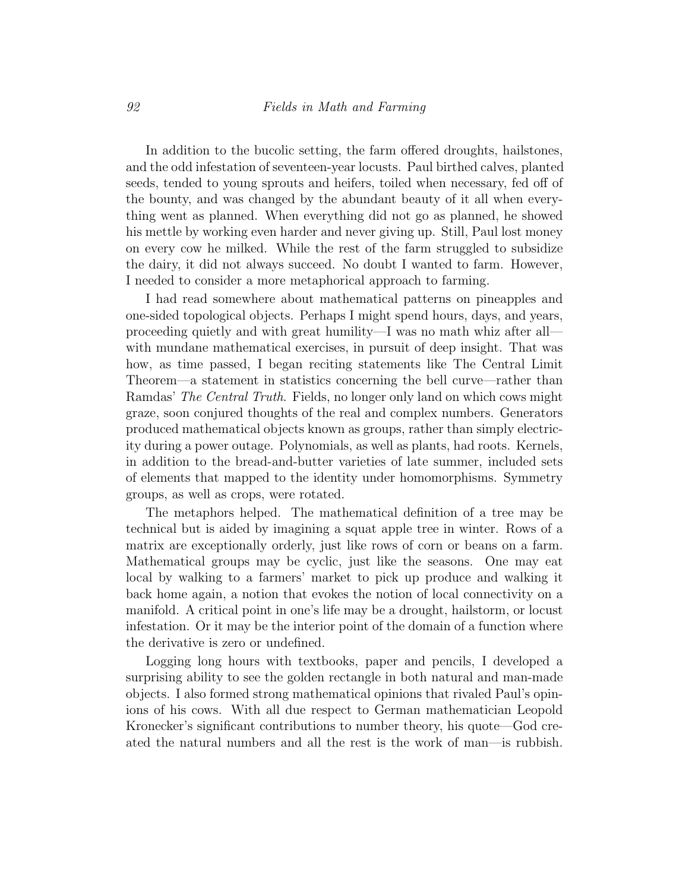In addition to the bucolic setting, the farm offered droughts, hailstones, and the odd infestation of seventeen-year locusts. Paul birthed calves, planted seeds, tended to young sprouts and heifers, toiled when necessary, fed off of the bounty, and was changed by the abundant beauty of it all when everything went as planned. When everything did not go as planned, he showed his mettle by working even harder and never giving up. Still, Paul lost money on every cow he milked. While the rest of the farm struggled to subsidize the dairy, it did not always succeed. No doubt I wanted to farm. However, I needed to consider a more metaphorical approach to farming.

I had read somewhere about mathematical patterns on pineapples and one-sided topological objects. Perhaps I might spend hours, days, and years, proceeding quietly and with great humility—I was no math whiz after all with mundane mathematical exercises, in pursuit of deep insight. That was how, as time passed, I began reciting statements like The Central Limit Theorem—a statement in statistics concerning the bell curve—rather than Ramdas' The Central Truth. Fields, no longer only land on which cows might graze, soon conjured thoughts of the real and complex numbers. Generators produced mathematical objects known as groups, rather than simply electricity during a power outage. Polynomials, as well as plants, had roots. Kernels, in addition to the bread-and-butter varieties of late summer, included sets of elements that mapped to the identity under homomorphisms. Symmetry groups, as well as crops, were rotated.

The metaphors helped. The mathematical definition of a tree may be technical but is aided by imagining a squat apple tree in winter. Rows of a matrix are exceptionally orderly, just like rows of corn or beans on a farm. Mathematical groups may be cyclic, just like the seasons. One may eat local by walking to a farmers' market to pick up produce and walking it back home again, a notion that evokes the notion of local connectivity on a manifold. A critical point in one's life may be a drought, hailstorm, or locust infestation. Or it may be the interior point of the domain of a function where the derivative is zero or undefined.

Logging long hours with textbooks, paper and pencils, I developed a surprising ability to see the golden rectangle in both natural and man-made objects. I also formed strong mathematical opinions that rivaled Paul's opinions of his cows. With all due respect to German mathematician Leopold Kronecker's significant contributions to number theory, his quote—God created the natural numbers and all the rest is the work of man—is rubbish.